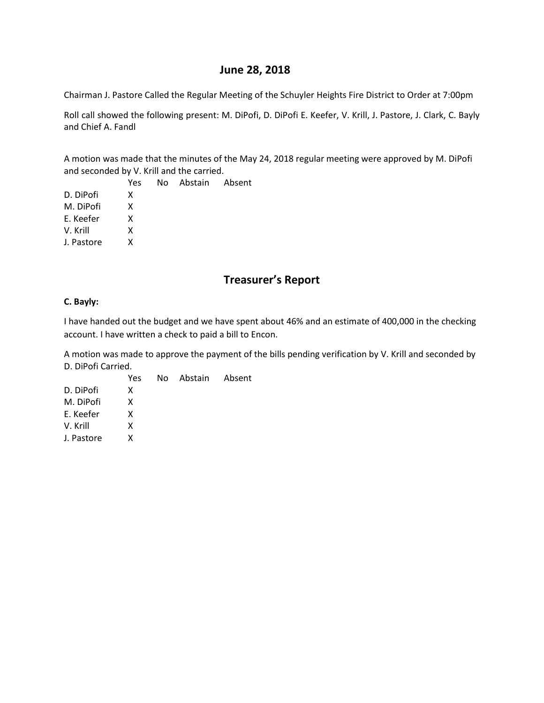### **June 28, 2018**

Chairman J. Pastore Called the Regular Meeting of the Schuyler Heights Fire District to Order at 7:00pm

Roll call showed the following present: M. DiPofi, D. DiPofi E. Keefer, V. Krill, J. Pastore, J. Clark, C. Bayly and Chief A. Fandl

A motion was made that the minutes of the May 24, 2018 regular meeting were approved by M. DiPofi and seconded by V. Krill and the carried.

| Yes |  |                   |
|-----|--|-------------------|
| x   |  |                   |
| x   |  |                   |
| x   |  |                   |
| x   |  |                   |
| x   |  |                   |
|     |  | No Abstain Absent |

# **Treasurer's Report**

#### **C. Bayly:**

I have handed out the budget and we have spent about 46% and an estimate of 400,000 in the checking account. I have written a check to paid a bill to Encon.

A motion was made to approve the payment of the bills pending verification by V. Krill and seconded by D. DiPofi Carried.

Yes No Abstain Absent D. DiPofi X M. DiPofi X E. Keefer X V. Krill X J. Pastore X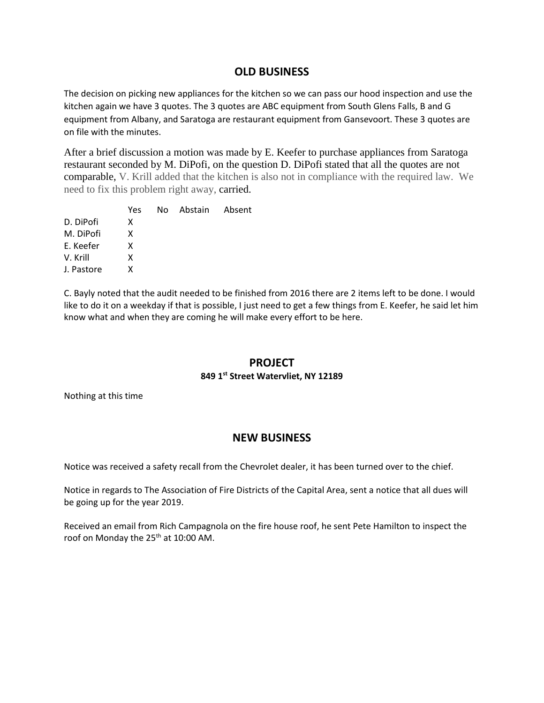## **OLD BUSINESS**

The decision on picking new appliances for the kitchen so we can pass our hood inspection and use the kitchen again we have 3 quotes. The 3 quotes are ABC equipment from South Glens Falls, B and G equipment from Albany, and Saratoga are restaurant equipment from Gansevoort. These 3 quotes are on file with the minutes.

After a brief discussion a motion was made by E. Keefer to purchase appliances from Saratoga restaurant seconded by M. DiPofi, on the question D. DiPofi stated that all the quotes are not comparable, V. Krill added that the kitchen is also not in compliance with the required law. We need to fix this problem right away, carried.

|            | Yes | No Abstain Absent |  |
|------------|-----|-------------------|--|
| D. DiPofi  | X   |                   |  |
| M. DiPofi  | x   |                   |  |
| E. Keefer  | x   |                   |  |
| V. Krill   | x   |                   |  |
| J. Pastore | x   |                   |  |
|            |     |                   |  |

C. Bayly noted that the audit needed to be finished from 2016 there are 2 items left to be done. I would like to do it on a weekday if that is possible, I just need to get a few things from E. Keefer, he said let him know what and when they are coming he will make every effort to be here.

### **PROJECT**

### **849 1st Street Watervliet, NY 12189**

Nothing at this time

# **NEW BUSINESS**

Notice was received a safety recall from the Chevrolet dealer, it has been turned over to the chief.

Notice in regards to The Association of Fire Districts of the Capital Area, sent a notice that all dues will be going up for the year 2019.

Received an email from Rich Campagnola on the fire house roof, he sent Pete Hamilton to inspect the roof on Monday the 25<sup>th</sup> at 10:00 AM.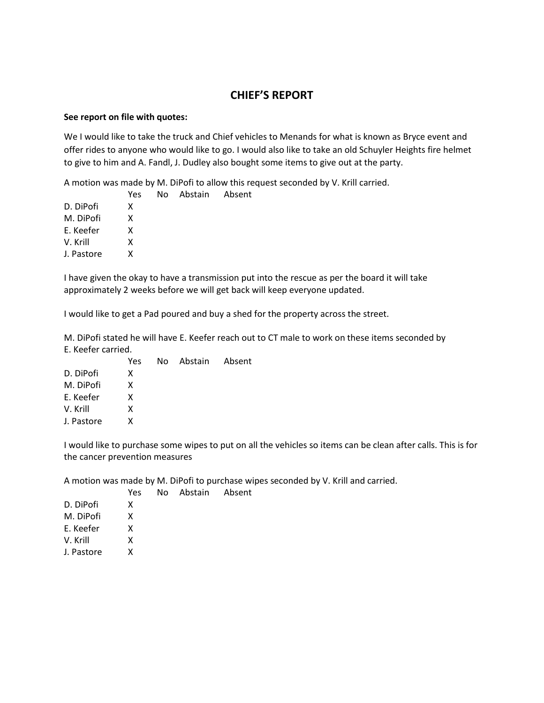## **CHIEF'S REPORT**

#### **See report on file with quotes:**

We I would like to take the truck and Chief vehicles to Menands for what is known as Bryce event and offer rides to anyone who would like to go. I would also like to take an old Schuyler Heights fire helmet to give to him and A. Fandl, J. Dudley also bought some items to give out at the party.

A motion was made by M. DiPofi to allow this request seconded by V. Krill carried.

| Yes |  |                   |
|-----|--|-------------------|
| x   |  |                   |
| x   |  |                   |
| x   |  |                   |
| x   |  |                   |
| x   |  |                   |
|     |  | No Abstain Absent |

I have given the okay to have a transmission put into the rescue as per the board it will take approximately 2 weeks before we will get back will keep everyone updated.

I would like to get a Pad poured and buy a shed for the property across the street.

M. DiPofi stated he will have E. Keefer reach out to CT male to work on these items seconded by E. Keefer carried.

|            | Yes | No Abstain Absent |  |
|------------|-----|-------------------|--|
| D. DiPofi  | x   |                   |  |
| M. DiPofi  | x   |                   |  |
| E. Keefer  | x   |                   |  |
| V. Krill   | x   |                   |  |
| J. Pastore | x   |                   |  |

I would like to purchase some wipes to put on all the vehicles so items can be clean after calls. This is for the cancer prevention measures

A motion was made by M. DiPofi to purchase wipes seconded by V. Krill and carried.

|            | Yes. | No Abstain Absent |  |
|------------|------|-------------------|--|
| D. DiPofi  | x    |                   |  |
| M. DiPofi  | x    |                   |  |
| E. Keefer  | x    |                   |  |
| V. Krill   | x    |                   |  |
| J. Pastore | x    |                   |  |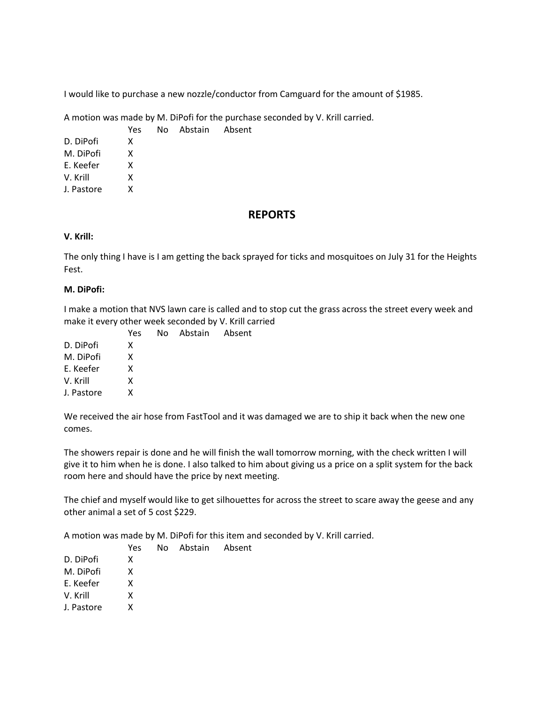I would like to purchase a new nozzle/conductor from Camguard for the amount of \$1985.

A motion was made by M. DiPofi for the purchase seconded by V. Krill carried.

Yes No Abstain Absent D. DiPofi X M. DiPofi X E. Keefer X V. Krill X J. Pastore X

### **REPORTS**

### **V. Krill:**

The only thing I have is I am getting the back sprayed for ticks and mosquitoes on July 31 for the Heights Fest.

#### **M. DiPofi:**

I make a motion that NVS lawn care is called and to stop cut the grass across the street every week and make it every other week seconded by V. Krill carried

|            | Yes | No Abstain |  |
|------------|-----|------------|--|
| D. DiPofi  | x   |            |  |
| M. DiPofi  | x   |            |  |
| E. Keefer  | x   |            |  |
| V. Krill   | x   |            |  |
| J. Pastore | x   |            |  |
|            |     |            |  |

We received the air hose from FastTool and it was damaged we are to ship it back when the new one comes.

The showers repair is done and he will finish the wall tomorrow morning, with the check written I will give it to him when he is done. I also talked to him about giving us a price on a split system for the back room here and should have the price by next meeting.

The chief and myself would like to get silhouettes for across the street to scare away the geese and any other animal a set of 5 cost \$229.

A motion was made by M. DiPofi for this item and seconded by V. Krill carried.

Abstain Absent

|            | Yes | No Abstain Absent |  |
|------------|-----|-------------------|--|
| D. DiPofi  | x   |                   |  |
| M. DiPofi  | x   |                   |  |
| E. Keefer  | x   |                   |  |
| V. Krill   | x   |                   |  |
| J. Pastore | x   |                   |  |
|            |     |                   |  |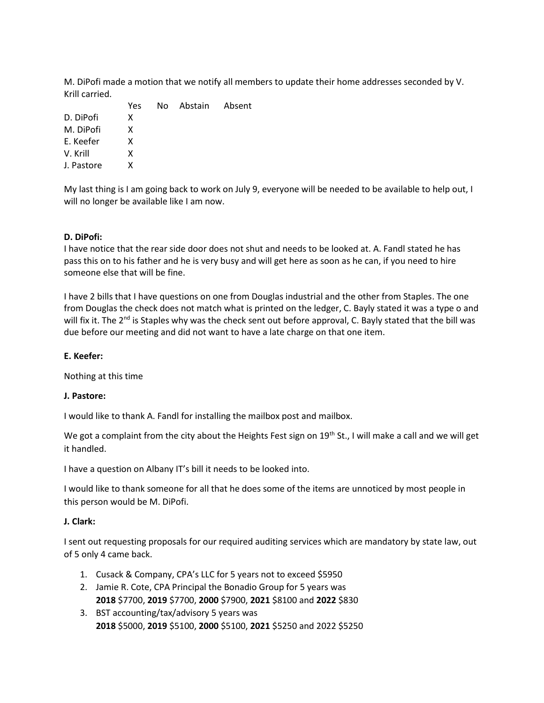M. DiPofi made a motion that we notify all members to update their home addresses seconded by V. Krill carried.

|            | Yes | No Abstain Absent |  |
|------------|-----|-------------------|--|
| D. DiPofi  | x   |                   |  |
| M. DiPofi  | x   |                   |  |
| E. Keefer  | x   |                   |  |
| V. Krill   | x   |                   |  |
| J. Pastore | x   |                   |  |
|            |     |                   |  |

My last thing is I am going back to work on July 9, everyone will be needed to be available to help out, I will no longer be available like I am now.

#### **D. DiPofi:**

I have notice that the rear side door does not shut and needs to be looked at. A. Fandl stated he has pass this on to his father and he is very busy and will get here as soon as he can, if you need to hire someone else that will be fine.

I have 2 bills that I have questions on one from Douglas industrial and the other from Staples. The one from Douglas the check does not match what is printed on the ledger, C. Bayly stated it was a type o and will fix it. The 2<sup>nd</sup> is Staples why was the check sent out before approval, C. Bayly stated that the bill was due before our meeting and did not want to have a late charge on that one item.

#### **E. Keefer:**

Nothing at this time

#### **J. Pastore:**

I would like to thank A. Fandl for installing the mailbox post and mailbox.

We got a complaint from the city about the Heights Fest sign on 19<sup>th</sup> St., I will make a call and we will get it handled.

I have a question on Albany IT's bill it needs to be looked into.

I would like to thank someone for all that he does some of the items are unnoticed by most people in this person would be M. DiPofi.

#### **J. Clark:**

I sent out requesting proposals for our required auditing services which are mandatory by state law, out of 5 only 4 came back.

- 1. Cusack & Company, CPA's LLC for 5 years not to exceed \$5950
- 2. Jamie R. Cote, CPA Principal the Bonadio Group for 5 years was **2018** \$7700, **2019** \$7700, **2000** \$7900, **2021** \$8100 and **2022** \$830
- 3. BST accounting/tax/advisory 5 years was **2018** \$5000, **2019** \$5100, **2000** \$5100, **2021** \$5250 and 2022 \$5250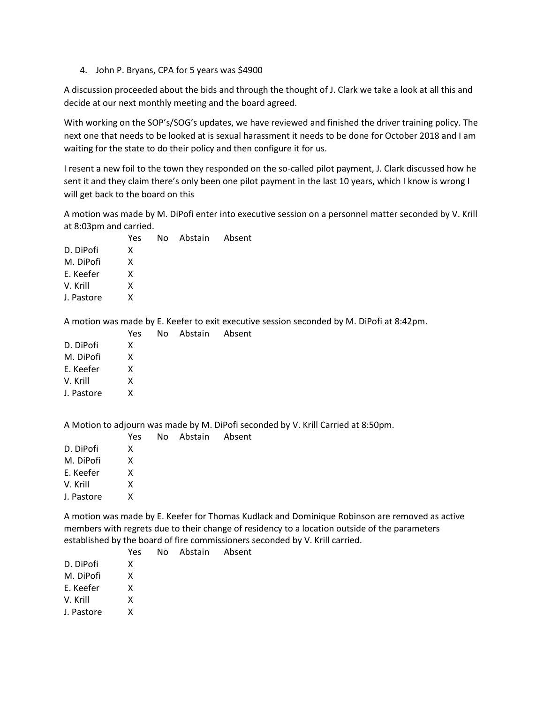4. John P. Bryans, CPA for 5 years was \$4900

A discussion proceeded about the bids and through the thought of J. Clark we take a look at all this and decide at our next monthly meeting and the board agreed.

With working on the SOP's/SOG's updates, we have reviewed and finished the driver training policy. The next one that needs to be looked at is sexual harassment it needs to be done for October 2018 and I am waiting for the state to do their policy and then configure it for us.

I resent a new foil to the town they responded on the so-called pilot payment, J. Clark discussed how he sent it and they claim there's only been one pilot payment in the last 10 years, which I know is wrong I will get back to the board on this

A motion was made by M. DiPofi enter into executive session on a personnel matter seconded by V. Krill at 8:03pm and carried.

|            | Yes. | No Abstain Absent |  |
|------------|------|-------------------|--|
| D. DiPofi  | x    |                   |  |
| M. DiPofi  | x    |                   |  |
| E. Keefer  | x    |                   |  |
| V. Krill   | x    |                   |  |
| J. Pastore | x    |                   |  |

A motion was made by E. Keefer to exit executive session seconded by M. DiPofi at 8:42pm.

Absent

|            | Yes | No Abstain |  |
|------------|-----|------------|--|
| D. DiPofi  | x   |            |  |
| M. DiPofi  | x   |            |  |
| E. Keefer  | x   |            |  |
| V. Krill   | x   |            |  |
| J. Pastore | x   |            |  |
|            |     |            |  |

A Motion to adjourn was made by M. DiPofi seconded by V. Krill Carried at 8:50pm.

|            | Yes | No Abstain Absent |  |
|------------|-----|-------------------|--|
| D. DiPofi  | x   |                   |  |
| M. DiPofi  | x   |                   |  |
| E. Keefer  | x   |                   |  |
| V. Krill   | x   |                   |  |
| J. Pastore | x   |                   |  |
|            |     |                   |  |

A motion was made by E. Keefer for Thomas Kudlack and Dominique Robinson are removed as active members with regrets due to their change of residency to a location outside of the parameters established by the board of fire commissioners seconded by V. Krill carried.

|            | Yes | No Abstain Absent |  |
|------------|-----|-------------------|--|
| D. DiPofi  | x   |                   |  |
| M. DiPofi  | x   |                   |  |
| E. Keefer  | x   |                   |  |
| V. Krill   | x   |                   |  |
| J. Pastore | x   |                   |  |
|            |     |                   |  |